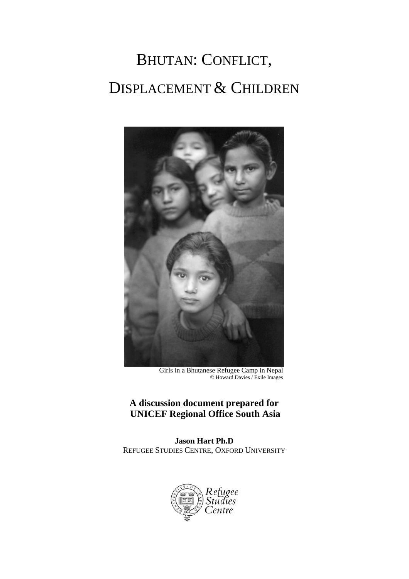# BHUTAN: CONFLICT, DISPLACEMENT & CHILDREN



Girls in a Bhutanese Refugee Camp in Nepal © Howard Davies / Exile Images

# **A discussion document prepared for UNICEF Regional Office South Asia**

**Jason Hart Ph.D**  REFUGEE STUDIES CENTRE, OXFORD UNIVERSITY

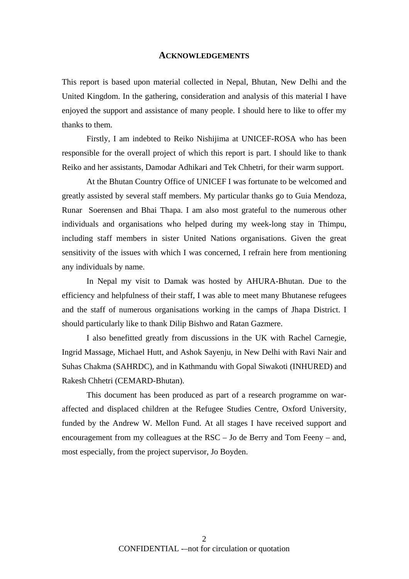#### **ACKNOWLEDGEMENTS**

This report is based upon material collected in Nepal, Bhutan, New Delhi and the United Kingdom. In the gathering, consideration and analysis of this material I have enjoyed the support and assistance of many people. I should here to like to offer my thanks to them.

Firstly, I am indebted to Reiko Nishijima at UNICEF-ROSA who has been responsible for the overall project of which this report is part. I should like to thank Reiko and her assistants, Damodar Adhikari and Tek Chhetri, for their warm support.

At the Bhutan Country Office of UNICEF I was fortunate to be welcomed and greatly assisted by several staff members. My particular thanks go to Guia Mendoza, Runar Soerensen and Bhai Thapa. I am also most grateful to the numerous other individuals and organisations who helped during my week-long stay in Thimpu, including staff members in sister United Nations organisations. Given the great sensitivity of the issues with which I was concerned, I refrain here from mentioning any individuals by name.

In Nepal my visit to Damak was hosted by AHURA-Bhutan. Due to the efficiency and helpfulness of their staff, I was able to meet many Bhutanese refugees and the staff of numerous organisations working in the camps of Jhapa District. I should particularly like to thank Dilip Bishwo and Ratan Gazmere.

I also benefitted greatly from discussions in the UK with Rachel Carnegie, Ingrid Massage, Michael Hutt, and Ashok Sayenju, in New Delhi with Ravi Nair and Suhas Chakma (SAHRDC), and in Kathmandu with Gopal Siwakoti (INHURED) and Rakesh Chhetri (CEMARD-Bhutan).

This document has been produced as part of a research programme on waraffected and displaced children at the Refugee Studies Centre, Oxford University, funded by the Andrew W. Mellon Fund. At all stages I have received support and encouragement from my colleagues at the RSC – Jo de Berry and Tom Feeny – and, most especially, from the project supervisor, Jo Boyden.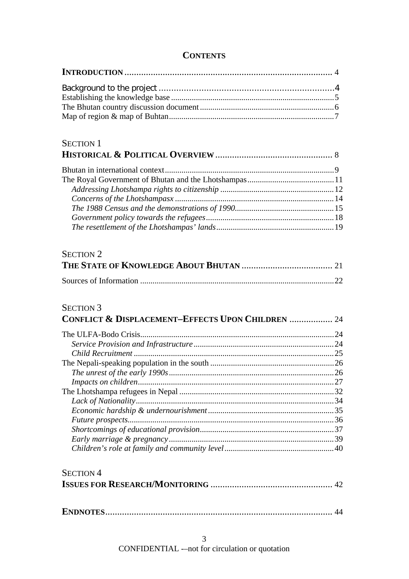# **CONTENTS**

| <b>SECTION 1</b>                                             |  |
|--------------------------------------------------------------|--|
|                                                              |  |
|                                                              |  |
|                                                              |  |
|                                                              |  |
|                                                              |  |
|                                                              |  |
|                                                              |  |
|                                                              |  |
| <b>SECTION 2</b>                                             |  |
|                                                              |  |
|                                                              |  |
|                                                              |  |
| <b>SECTION 3</b>                                             |  |
| <b>CONFLICT &amp; DISPLACEMENT-EFFECTS UPON CHILDREN  24</b> |  |
|                                                              |  |
|                                                              |  |
|                                                              |  |
|                                                              |  |
|                                                              |  |
|                                                              |  |
|                                                              |  |
|                                                              |  |
|                                                              |  |
|                                                              |  |
|                                                              |  |
|                                                              |  |
|                                                              |  |
|                                                              |  |
|                                                              |  |
|                                                              |  |
| <b>SECTION 4</b>                                             |  |
|                                                              |  |
|                                                              |  |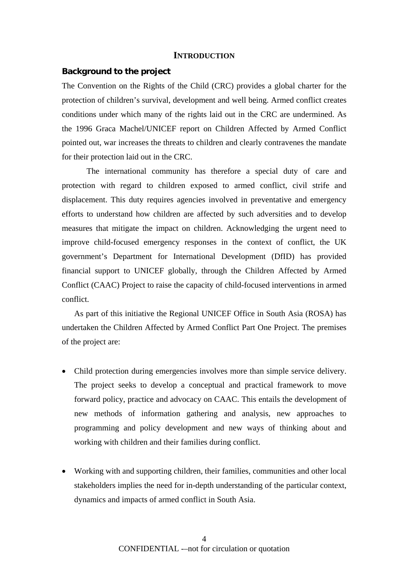#### **INTRODUCTION**

#### **Background to the project**

The Convention on the Rights of the Child (CRC) provides a global charter for the protection of children's survival, development and well being. Armed conflict creates conditions under which many of the rights laid out in the CRC are undermined. As the 1996 Graca Machel/UNICEF report on Children Affected by Armed Conflict pointed out, war increases the threats to children and clearly contravenes the mandate for their protection laid out in the CRC.

The international community has therefore a special duty of care and protection with regard to children exposed to armed conflict, civil strife and displacement. This duty requires agencies involved in preventative and emergency efforts to understand how children are affected by such adversities and to develop measures that mitigate the impact on children. Acknowledging the urgent need to improve child-focused emergency responses in the context of conflict, the UK government's Department for International Development (DfID) has provided financial support to UNICEF globally, through the Children Affected by Armed Conflict (CAAC) Project to raise the capacity of child-focused interventions in armed conflict.

As part of this initiative the Regional UNICEF Office in South Asia (ROSA) has undertaken the Children Affected by Armed Conflict Part One Project. The premises of the project are:

- Child protection during emergencies involves more than simple service delivery. The project seeks to develop a conceptual and practical framework to move forward policy, practice and advocacy on CAAC. This entails the development of new methods of information gathering and analysis, new approaches to programming and policy development and new ways of thinking about and working with children and their families during conflict.
- Working with and supporting children, their families, communities and other local stakeholders implies the need for in-depth understanding of the particular context, dynamics and impacts of armed conflict in South Asia.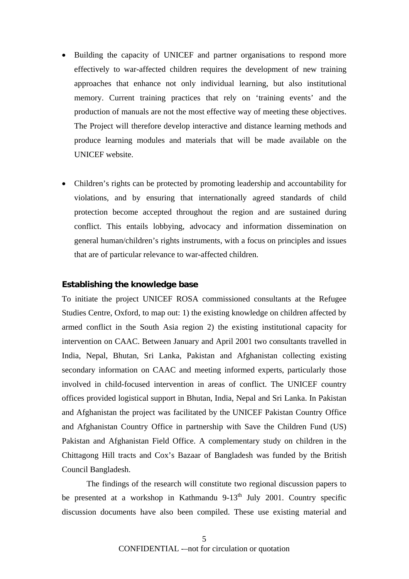- Building the capacity of UNICEF and partner organisations to respond more effectively to war-affected children requires the development of new training approaches that enhance not only individual learning, but also institutional memory. Current training practices that rely on 'training events' and the production of manuals are not the most effective way of meeting these objectives. The Project will therefore develop interactive and distance learning methods and produce learning modules and materials that will be made available on the UNICEF website.
- Children's rights can be protected by promoting leadership and accountability for violations, and by ensuring that internationally agreed standards of child protection become accepted throughout the region and are sustained during conflict. This entails lobbying, advocacy and information dissemination on general human/children's rights instruments, with a focus on principles and issues that are of particular relevance to war-affected children.

# **Establishing the knowledge base**

To initiate the project UNICEF ROSA commissioned consultants at the Refugee Studies Centre, Oxford, to map out: 1) the existing knowledge on children affected by armed conflict in the South Asia region 2) the existing institutional capacity for intervention on CAAC. Between January and April 2001 two consultants travelled in India, Nepal, Bhutan, Sri Lanka, Pakistan and Afghanistan collecting existing secondary information on CAAC and meeting informed experts, particularly those involved in child-focused intervention in areas of conflict. The UNICEF country offices provided logistical support in Bhutan, India, Nepal and Sri Lanka. In Pakistan and Afghanistan the project was facilitated by the UNICEF Pakistan Country Office and Afghanistan Country Office in partnership with Save the Children Fund (US) Pakistan and Afghanistan Field Office. A complementary study on children in the Chittagong Hill tracts and Cox's Bazaar of Bangladesh was funded by the British Council Bangladesh.

The findings of the research will constitute two regional discussion papers to be presented at a workshop in Kathmandu  $9-13<sup>th</sup>$  July 2001. Country specific discussion documents have also been compiled. These use existing material and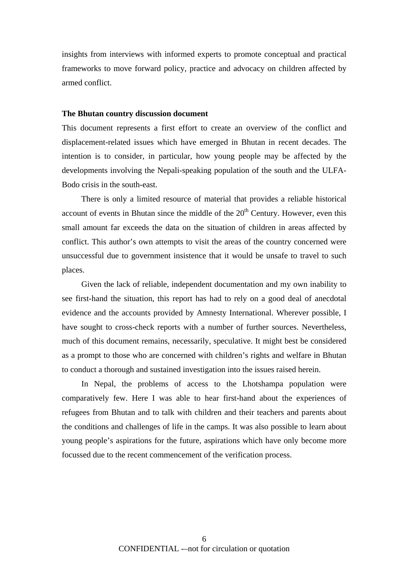insights from interviews with informed experts to promote conceptual and practical frameworks to move forward policy, practice and advocacy on children affected by armed conflict.

#### **The Bhutan country discussion document**

This document represents a first effort to create an overview of the conflict and displacement-related issues which have emerged in Bhutan in recent decades. The intention is to consider, in particular, how young people may be affected by the developments involving the Nepali-speaking population of the south and the ULFA-Bodo crisis in the south-east.

There is only a limited resource of material that provides a reliable historical account of events in Bhutan since the middle of the  $20<sup>th</sup>$  Century. However, even this small amount far exceeds the data on the situation of children in areas affected by conflict. This author's own attempts to visit the areas of the country concerned were unsuccessful due to government insistence that it would be unsafe to travel to such places.

Given the lack of reliable, independent documentation and my own inability to see first-hand the situation, this report has had to rely on a good deal of anecdotal evidence and the accounts provided by Amnesty International. Wherever possible, I have sought to cross-check reports with a number of further sources. Nevertheless, much of this document remains, necessarily, speculative. It might best be considered as a prompt to those who are concerned with children's rights and welfare in Bhutan to conduct a thorough and sustained investigation into the issues raised herein.

In Nepal, the problems of access to the Lhotshampa population were comparatively few. Here I was able to hear first-hand about the experiences of refugees from Bhutan and to talk with children and their teachers and parents about the conditions and challenges of life in the camps. It was also possible to learn about young people's aspirations for the future, aspirations which have only become more focussed due to the recent commencement of the verification process.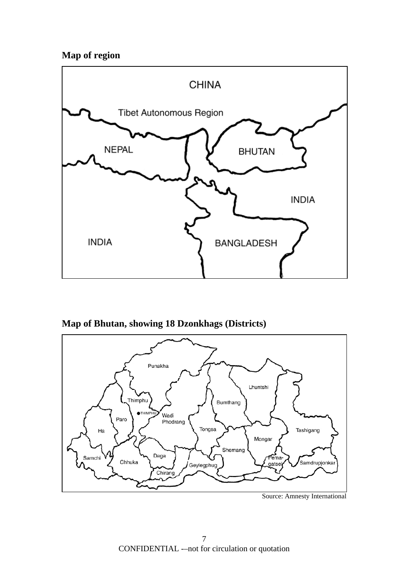# **Map of region**



**Map of Bhutan, showing 18 Dzonkhags (Districts)** 



Source: Amnesty International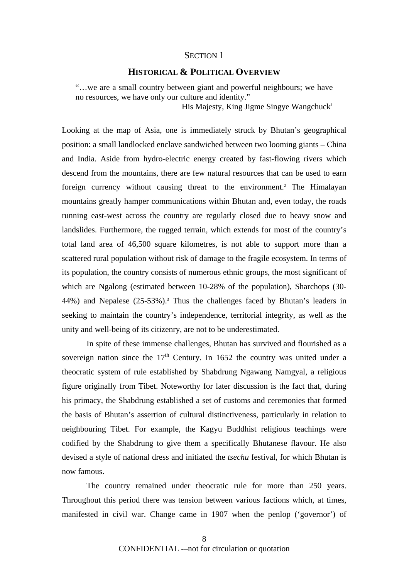# SECTION 1

# **HISTORICAL & POLITICAL OVERVIEW**

"…we are a small country between giant and powerful neighbours; we have no resources, we have only our culture and identity."

His Majesty, King Jigme Singye Wangchuck<sup>1</sup>

Looking at the map of Asia, one is immediately struck by Bhutan's geographical position: a small landlocked enclave sandwiched between two looming giants – China and India. Aside from hydro-electric energy created by fast-flowing rivers which descend from the mountains, there are few natural resources that can be used to earn foreign currency without causing threat to the environment.<sup>2</sup> The Himalayan mountains greatly hamper communications within Bhutan and, even today, the roads running east-west across the country are regularly closed due to heavy snow and landslides. Furthermore, the rugged terrain, which extends for most of the country's total land area of 46,500 square kilometres, is not able to support more than a scattered rural population without risk of damage to the fragile ecosystem. In terms of its population, the country consists of numerous ethnic groups, the most significant of which are Ngalong (estimated between 10-28% of the population), Sharchops (30- 44%) and Nepalese (25-53%).<sup>3</sup> Thus the challenges faced by Bhutan's leaders in seeking to maintain the country's independence, territorial integrity, as well as the unity and well-being of its citizenry, are not to be underestimated.

In spite of these immense challenges, Bhutan has survived and flourished as a sovereign nation since the  $17<sup>th</sup>$  Century. In 1652 the country was united under a theocratic system of rule established by Shabdrung Ngawang Namgyal, a religious figure originally from Tibet. Noteworthy for later discussion is the fact that, during his primacy, the Shabdrung established a set of customs and ceremonies that formed the basis of Bhutan's assertion of cultural distinctiveness, particularly in relation to neighbouring Tibet. For example, the Kagyu Buddhist religious teachings were codified by the Shabdrung to give them a specifically Bhutanese flavour. He also devised a style of national dress and initiated the *tsechu* festival, for which Bhutan is now famous.

The country remained under theocratic rule for more than 250 years. Throughout this period there was tension between various factions which, at times, manifested in civil war. Change came in 1907 when the penlop ('governor') of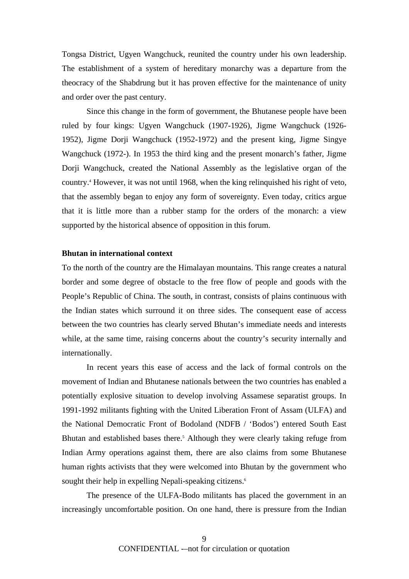Tongsa District, Ugyen Wangchuck, reunited the country under his own leadership. The establishment of a system of hereditary monarchy was a departure from the theocracy of the Shabdrung but it has proven effective for the maintenance of unity and order over the past century.

Since this change in the form of government, the Bhutanese people have been ruled by four kings: Ugyen Wangchuck (1907-1926), Jigme Wangchuck (1926- 1952), Jigme Dorji Wangchuck (1952-1972) and the present king, Jigme Singye Wangchuck (1972-). In 1953 the third king and the present monarch's father, Jigme Dorji Wangchuck, created the National Assembly as the legislative organ of the country.4 However, it was not until 1968, when the king relinquished his right of veto, that the assembly began to enjoy any form of sovereignty. Even today, critics argue that it is little more than a rubber stamp for the orders of the monarch: a view supported by the historical absence of opposition in this forum.

# **Bhutan in international context**

To the north of the country are the Himalayan mountains. This range creates a natural border and some degree of obstacle to the free flow of people and goods with the People's Republic of China. The south, in contrast, consists of plains continuous with the Indian states which surround it on three sides. The consequent ease of access between the two countries has clearly served Bhutan's immediate needs and interests while, at the same time, raising concerns about the country's security internally and internationally.

In recent years this ease of access and the lack of formal controls on the movement of Indian and Bhutanese nationals between the two countries has enabled a potentially explosive situation to develop involving Assamese separatist groups. In 1991-1992 militants fighting with the United Liberation Front of Assam (ULFA) and the National Democratic Front of Bodoland (NDFB / 'Bodos') entered South East Bhutan and established bases there.<sup>5</sup> Although they were clearly taking refuge from Indian Army operations against them, there are also claims from some Bhutanese human rights activists that they were welcomed into Bhutan by the government who sought their help in expelling Nepali-speaking citizens.<sup>6</sup>

The presence of the ULFA-Bodo militants has placed the government in an increasingly uncomfortable position. On one hand, there is pressure from the Indian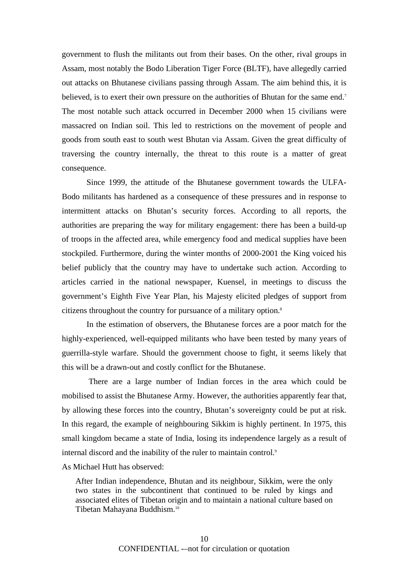government to flush the militants out from their bases. On the other, rival groups in Assam, most notably the Bodo Liberation Tiger Force (BLTF), have allegedly carried out attacks on Bhutanese civilians passing through Assam. The aim behind this, it is believed, is to exert their own pressure on the authorities of Bhutan for the same end.<sup>7</sup> The most notable such attack occurred in December 2000 when 15 civilians were massacred on Indian soil. This led to restrictions on the movement of people and goods from south east to south west Bhutan via Assam. Given the great difficulty of traversing the country internally, the threat to this route is a matter of great consequence.

Since 1999, the attitude of the Bhutanese government towards the ULFA-Bodo militants has hardened as a consequence of these pressures and in response to intermittent attacks on Bhutan's security forces. According to all reports, the authorities are preparing the way for military engagement: there has been a build-up of troops in the affected area, while emergency food and medical supplies have been stockpiled. Furthermore, during the winter months of 2000-2001 the King voiced his belief publicly that the country may have to undertake such action. According to articles carried in the national newspaper, Kuensel, in meetings to discuss the government's Eighth Five Year Plan, his Majesty elicited pledges of support from citizens throughout the country for pursuance of a military option.<sup>8</sup>

In the estimation of observers, the Bhutanese forces are a poor match for the highly-experienced, well-equipped militants who have been tested by many years of guerrilla-style warfare. Should the government choose to fight, it seems likely that this will be a drawn-out and costly conflict for the Bhutanese.

There are a large number of Indian forces in the area which could be mobilised to assist the Bhutanese Army. However, the authorities apparently fear that, by allowing these forces into the country, Bhutan's sovereignty could be put at risk. In this regard, the example of neighbouring Sikkim is highly pertinent. In 1975, this small kingdom became a state of India, losing its independence largely as a result of internal discord and the inability of the ruler to maintain control.<sup>9</sup>

As Michael Hutt has observed:

After Indian independence, Bhutan and its neighbour, Sikkim, were the only two states in the subcontinent that continued to be ruled by kings and associated elites of Tibetan origin and to maintain a national culture based on Tibetan Mahayana Buddhism. 10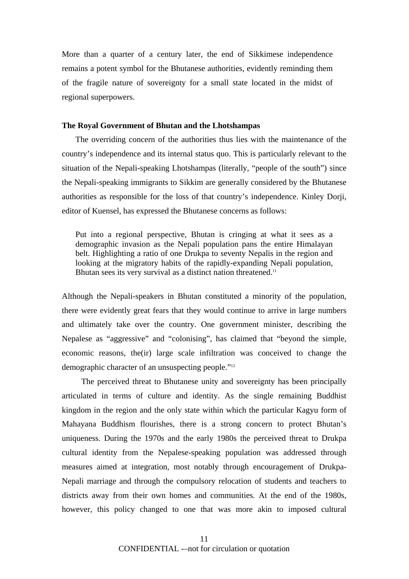More than a quarter of a century later, the end of Sikkimese independence remains a potent symbol for the Bhutanese authorities, evidently reminding them of the fragile nature of sovereignty for a small state located in the midst of regional superpowers.

#### **The Royal Government of Bhutan and the Lhotshampas**

The overriding concern of the authorities thus lies with the maintenance of the country's independence and its internal status quo. This is particularly relevant to the situation of the Nepali-speaking Lhotshampas (literally, "people of the south") since the Nepali-speaking immigrants to Sikkim are generally considered by the Bhutanese authorities as responsible for the loss of that country's independence. Kinley Dorji, editor of Kuensel, has expressed the Bhutanese concerns as follows:

Put into a regional perspective, Bhutan is cringing at what it sees as a demographic invasion as the Nepali population pans the entire Himalayan belt. Highlighting a ratio of one Drukpa to seventy Nepalis in the region and looking at the migratory habits of the rapidly-expanding Nepali population, Bhutan sees its very survival as a distinct nation threatened.<sup>11</sup>

Although the Nepali-speakers in Bhutan constituted a minority of the population, there were evidently great fears that they would continue to arrive in large numbers and ultimately take over the country. One government minister, describing the Nepalese as "aggressive" and "colonising", has claimed that "beyond the simple, economic reasons, the(ir) large scale infiltration was conceived to change the demographic character of an unsuspecting people."<sup>12</sup>

The perceived threat to Bhutanese unity and sovereignty has been principally articulated in terms of culture and identity. As the single remaining Buddhist kingdom in the region and the only state within which the particular Kagyu form of Mahayana Buddhism flourishes, there is a strong concern to protect Bhutan's uniqueness. During the 1970s and the early 1980s the perceived threat to Drukpa cultural identity from the Nepalese-speaking population was addressed through measures aimed at integration, most notably through encouragement of Drukpa-Nepali marriage and through the compulsory relocation of students and teachers to districts away from their own homes and communities. At the end of the 1980s, however, this policy changed to one that was more akin to imposed cultural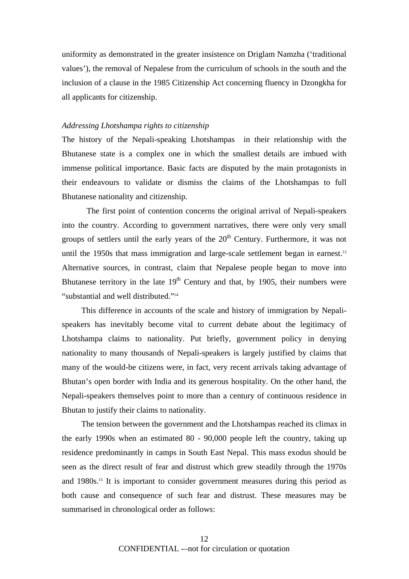uniformity as demonstrated in the greater insistence on Driglam Namzha ('traditional values'), the removal of Nepalese from the curriculum of schools in the south and the inclusion of a clause in the 1985 Citizenship Act concerning fluency in Dzongkha for all applicants for citizenship.

#### *Addressing Lhotshampa rights to citizenship*

The history of the Nepali-speaking Lhotshampas in their relationship with the Bhutanese state is a complex one in which the smallest details are imbued with immense political importance. Basic facts are disputed by the main protagonists in their endeavours to validate or dismiss the claims of the Lhotshampas to full Bhutanese nationality and citizenship.

The first point of contention concerns the original arrival of Nepali-speakers into the country. According to government narratives, there were only very small groups of settlers until the early years of the  $20<sup>th</sup>$  Century. Furthermore, it was not until the 1950s that mass immigration and large-scale settlement began in earnest.<sup>13</sup> Alternative sources, in contrast, claim that Nepalese people began to move into Bhutanese territory in the late  $19<sup>th</sup>$  Century and that, by 1905, their numbers were "substantial and well distributed."14

This difference in accounts of the scale and history of immigration by Nepalispeakers has inevitably become vital to current debate about the legitimacy of Lhotshampa claims to nationality. Put briefly, government policy in denying nationality to many thousands of Nepali-speakers is largely justified by claims that many of the would-be citizens were, in fact, very recent arrivals taking advantage of Bhutan's open border with India and its generous hospitality. On the other hand, the Nepali-speakers themselves point to more than a century of continuous residence in Bhutan to justify their claims to nationality.

The tension between the government and the Lhotshampas reached its climax in the early 1990s when an estimated 80 - 90,000 people left the country, taking up residence predominantly in camps in South East Nepal. This mass exodus should be seen as the direct result of fear and distrust which grew steadily through the 1970s and 1980s.15 It is important to consider government measures during this period as both cause and consequence of such fear and distrust. These measures may be summarised in chronological order as follows: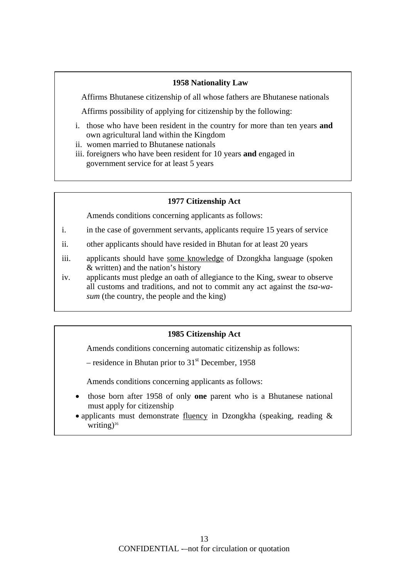# **1958 Nationality Law**

Affirms Bhutanese citizenship of all whose fathers are Bhutanese nationals

Affirms possibility of applying for citizenship by the following:

- i. those who have been resident in the country for more than ten years **and** own agricultural land within the Kingdom
- ii. women married to Bhutanese nationals
- iii. foreigners who have been resident for 10 years **and** engaged in government service for at least 5 years

# **1977 Citizenship Act**

Amends conditions concerning applicants as follows:

- i. in the case of government servants, applicants require 15 years of service
- ii. other applicants should have resided in Bhutan for at least 20 years
- iii. applicants should have some knowledge of Dzongkha language (spoken & written) and the nation's history
- iv. applicants must pledge an oath of allegiance to the King, swear to observe all customs and traditions, and not to commit any act against the *tsa-wasum* (the country, the people and the king)

# **1985 Citizenship Act**

Amends conditions concerning automatic citizenship as follows:

– residence in Bhutan prior to  $31<sup>st</sup>$  December, 1958

Amends conditions concerning applicants as follows:

- those born after 1958 of only **one** parent who is a Bhutanese national must apply for citizenship
- applicants must demonstrate fluency in Dzongkha (speaking, reading  $\&$ writing)<sup>16</sup>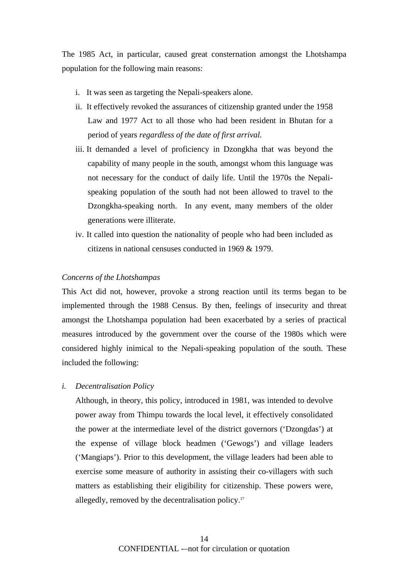The 1985 Act, in particular, caused great consternation amongst the Lhotshampa population for the following main reasons:

- i. It was seen as targeting the Nepali-speakers alone.
- ii. It effectively revoked the assurances of citizenship granted under the 1958 Law and 1977 Act to all those who had been resident in Bhutan for a period of years *regardless of the date of first arrival.*
- iii. It demanded a level of proficiency in Dzongkha that was beyond the capability of many people in the south, amongst whom this language was not necessary for the conduct of daily life. Until the 1970s the Nepalispeaking population of the south had not been allowed to travel to the Dzongkha-speaking north. In any event, many members of the older generations were illiterate.
- iv. It called into question the nationality of people who had been included as citizens in national censuses conducted in 1969 & 1979.

#### *Concerns of the Lhotshampas*

This Act did not, however, provoke a strong reaction until its terms began to be implemented through the 1988 Census. By then, feelings of insecurity and threat amongst the Lhotshampa population had been exacerbated by a series of practical measures introduced by the government over the course of the 1980s which were considered highly inimical to the Nepali-speaking population of the south. These included the following:

#### *i. Decentralisation Policy*

Although, in theory, this policy, introduced in 1981, was intended to devolve power away from Thimpu towards the local level, it effectively consolidated the power at the intermediate level of the district governors ('Dzongdas') at the expense of village block headmen ('Gewogs') and village leaders ('Mangiaps'). Prior to this development, the village leaders had been able to exercise some measure of authority in assisting their co-villagers with such matters as establishing their eligibility for citizenship. These powers were, allegedly, removed by the decentralisation policy.17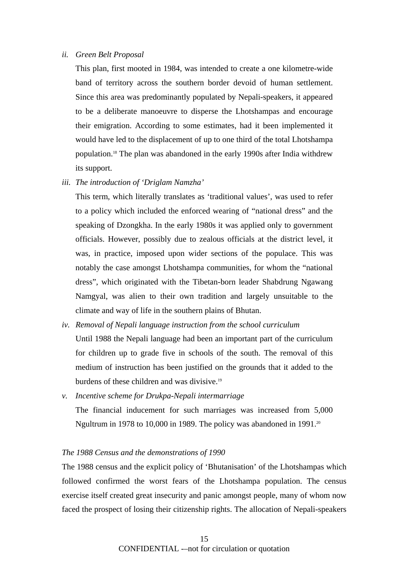#### *ii. Green Belt Proposal*

This plan, first mooted in 1984, was intended to create a one kilometre-wide band of territory across the southern border devoid of human settlement. Since this area was predominantly populated by Nepali-speakers, it appeared to be a deliberate manoeuvre to disperse the Lhotshampas and encourage their emigration. According to some estimates, had it been implemented it would have led to the displacement of up to one third of the total Lhotshampa population.18 The plan was abandoned in the early 1990s after India withdrew its support.

*iii. The introduction of 'Driglam Namzha'* 

This term, which literally translates as 'traditional values', was used to refer to a policy which included the enforced wearing of "national dress" and the speaking of Dzongkha. In the early 1980s it was applied only to government officials. However, possibly due to zealous officials at the district level, it was, in practice, imposed upon wider sections of the populace. This was notably the case amongst Lhotshampa communities, for whom the "national dress", which originated with the Tibetan-born leader Shabdrung Ngawang Namgyal, was alien to their own tradition and largely unsuitable to the climate and way of life in the southern plains of Bhutan.

- *iv. Removal of Nepali language instruction from the school curriculum*  Until 1988 the Nepali language had been an important part of the curriculum for children up to grade five in schools of the south. The removal of this medium of instruction has been justified on the grounds that it added to the burdens of these children and was divisive.19
- *v. Incentive scheme for Drukpa-Nepali intermarriage*  The financial inducement for such marriages was increased from 5,000 Ngultrum in 1978 to 10,000 in 1989. The policy was abandoned in 1991.<sup>20</sup>

#### *The 1988 Census and the demonstrations of 1990*

The 1988 census and the explicit policy of 'Bhutanisation' of the Lhotshampas which followed confirmed the worst fears of the Lhotshampa population. The census exercise itself created great insecurity and panic amongst people, many of whom now faced the prospect of losing their citizenship rights. The allocation of Nepali-speakers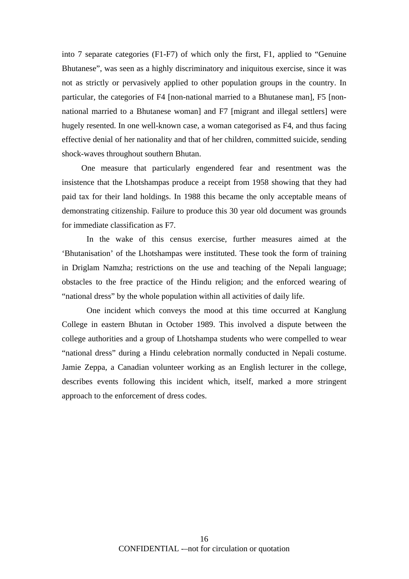into 7 separate categories (F1-F7) of which only the first, F1, applied to "Genuine Bhutanese", was seen as a highly discriminatory and iniquitous exercise, since it was not as strictly or pervasively applied to other population groups in the country. In particular, the categories of F4 [non-national married to a Bhutanese man], F5 [nonnational married to a Bhutanese woman] and F7 [migrant and illegal settlers] were hugely resented. In one well-known case, a woman categorised as F4, and thus facing effective denial of her nationality and that of her children, committed suicide, sending shock-waves throughout southern Bhutan.

One measure that particularly engendered fear and resentment was the insistence that the Lhotshampas produce a receipt from 1958 showing that they had paid tax for their land holdings. In 1988 this became the only acceptable means of demonstrating citizenship. Failure to produce this 30 year old document was grounds for immediate classification as F7.

In the wake of this census exercise, further measures aimed at the 'Bhutanisation' of the Lhotshampas were instituted. These took the form of training in Driglam Namzha; restrictions on the use and teaching of the Nepali language; obstacles to the free practice of the Hindu religion; and the enforced wearing of "national dress" by the whole population within all activities of daily life.

One incident which conveys the mood at this time occurred at Kanglung College in eastern Bhutan in October 1989. This involved a dispute between the college authorities and a group of Lhotshampa students who were compelled to wear "national dress" during a Hindu celebration normally conducted in Nepali costume. Jamie Zeppa, a Canadian volunteer working as an English lecturer in the college, describes events following this incident which, itself, marked a more stringent approach to the enforcement of dress codes.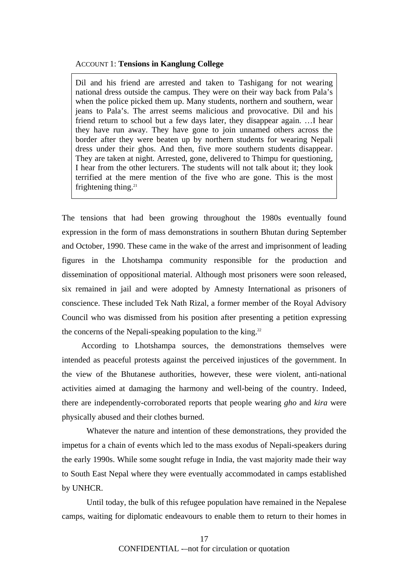#### ACCOUNT 1: **Tensions in Kanglung College**

Dil and his friend are arrested and taken to Tashigang for not wearing national dress outside the campus. They were on their way back from Pala's when the police picked them up. Many students, northern and southern, wear jeans to Pala's. The arrest seems malicious and provocative. Dil and his friend return to school but a few days later, they disappear again. …I hear they have run away. They have gone to join unnamed others across the border after they were beaten up by northern students for wearing Nepali dress under their ghos. And then, five more southern students disappear. They are taken at night. Arrested, gone, delivered to Thimpu for questioning, I hear from the other lecturers. The students will not talk about it; they look terrified at the mere mention of the five who are gone. This is the most frightening thing. $21$ 

The tensions that had been growing throughout the 1980s eventually found expression in the form of mass demonstrations in southern Bhutan during September and October, 1990. These came in the wake of the arrest and imprisonment of leading figures in the Lhotshampa community responsible for the production and dissemination of oppositional material. Although most prisoners were soon released, six remained in jail and were adopted by Amnesty International as prisoners of conscience. These included Tek Nath Rizal, a former member of the Royal Advisory Council who was dismissed from his position after presenting a petition expressing the concerns of the Nepali-speaking population to the king.<sup>22</sup>

According to Lhotshampa sources, the demonstrations themselves were intended as peaceful protests against the perceived injustices of the government. In the view of the Bhutanese authorities, however, these were violent, anti-national activities aimed at damaging the harmony and well-being of the country. Indeed, there are independently-corroborated reports that people wearing *gho* and *kira* were physically abused and their clothes burned.

Whatever the nature and intention of these demonstrations, they provided the impetus for a chain of events which led to the mass exodus of Nepali-speakers during the early 1990s. While some sought refuge in India, the vast majority made their way to South East Nepal where they were eventually accommodated in camps established by UNHCR.

Until today, the bulk of this refugee population have remained in the Nepalese camps, waiting for diplomatic endeavours to enable them to return to their homes in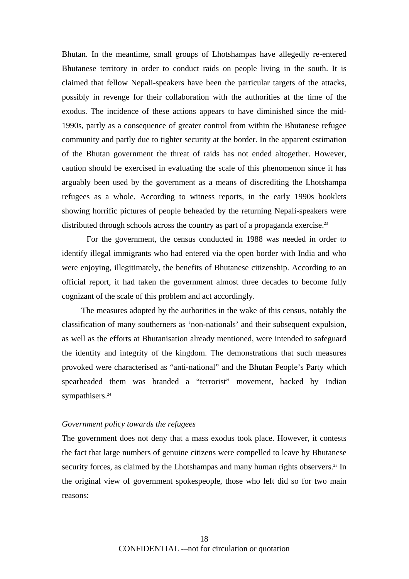Bhutan. In the meantime, small groups of Lhotshampas have allegedly re-entered Bhutanese territory in order to conduct raids on people living in the south. It is claimed that fellow Nepali-speakers have been the particular targets of the attacks, possibly in revenge for their collaboration with the authorities at the time of the exodus. The incidence of these actions appears to have diminished since the mid-1990s, partly as a consequence of greater control from within the Bhutanese refugee community and partly due to tighter security at the border. In the apparent estimation of the Bhutan government the threat of raids has not ended altogether. However, caution should be exercised in evaluating the scale of this phenomenon since it has arguably been used by the government as a means of discrediting the Lhotshampa refugees as a whole. According to witness reports, in the early 1990s booklets showing horrific pictures of people beheaded by the returning Nepali-speakers were distributed through schools across the country as part of a propaganda exercise.<sup>23</sup>

For the government, the census conducted in 1988 was needed in order to identify illegal immigrants who had entered via the open border with India and who were enjoying, illegitimately, the benefits of Bhutanese citizenship. According to an official report, it had taken the government almost three decades to become fully cognizant of the scale of this problem and act accordingly.

The measures adopted by the authorities in the wake of this census, notably the classification of many southerners as 'non-nationals' and their subsequent expulsion, as well as the efforts at Bhutanisation already mentioned, were intended to safeguard the identity and integrity of the kingdom. The demonstrations that such measures provoked were characterised as "anti-national" and the Bhutan People's Party which spearheaded them was branded a "terrorist" movement, backed by Indian sympathisers.<sup>24</sup>

#### *Government policy towards the refugees*

The government does not deny that a mass exodus took place. However, it contests the fact that large numbers of genuine citizens were compelled to leave by Bhutanese security forces, as claimed by the Lhotshampas and many human rights observers.<sup>25</sup> In the original view of government spokespeople, those who left did so for two main reasons: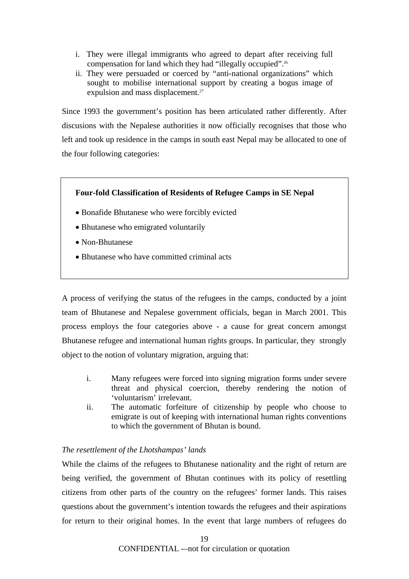- i. They were illegal immigrants who agreed to depart after receiving full compensation for land which they had "illegally occupied".26
- ii. They were persuaded or coerced by "anti-national organizations" which sought to mobilise international support by creating a bogus image of expulsion and mass displacement.<sup>27</sup>

Since 1993 the government's position has been articulated rather differently. After discusions with the Nepalese authorities it now officially recognises that those who left and took up residence in the camps in south east Nepal may be allocated to one of the four following categories:

# **Four-fold Classification of Residents of Refugee Camps in SE Nepal**

- Bonafide Bhutanese who were forcibly evicted
- Bhutanese who emigrated voluntarily
- Non-Bhutanese
- Bhutanese who have committed criminal acts

A process of verifying the status of the refugees in the camps, conducted by a joint team of Bhutanese and Nepalese government officials, began in March 2001. This process employs the four categories above - a cause for great concern amongst Bhutanese refugee and international human rights groups. In particular, they strongly object to the notion of voluntary migration, arguing that:

- i. Many refugees were forced into signing migration forms under severe threat and physical coercion, thereby rendering the notion of 'voluntarism' irrelevant.
- ii. The automatic forfeiture of citizenship by people who choose to emigrate is out of keeping with international human rights conventions to which the government of Bhutan is bound.

# *The resettlement of the Lhotshampas' lands*

While the claims of the refugees to Bhutanese nationality and the right of return are being verified, the government of Bhutan continues with its policy of resettling citizens from other parts of the country on the refugees' former lands. This raises questions about the government's intention towards the refugees and their aspirations for return to their original homes. In the event that large numbers of refugees do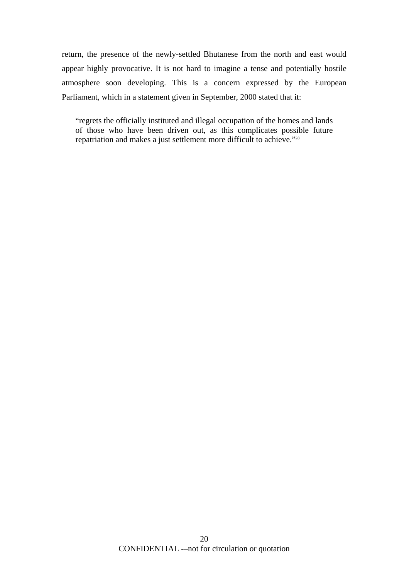return, the presence of the newly-settled Bhutanese from the north and east would appear highly provocative. It is not hard to imagine a tense and potentially hostile atmosphere soon developing. This is a concern expressed by the European Parliament, which in a statement given in September, 2000 stated that it:

"regrets the officially instituted and illegal occupation of the homes and lands of those who have been driven out, as this complicates possible future repatriation and makes a just settlement more difficult to achieve."28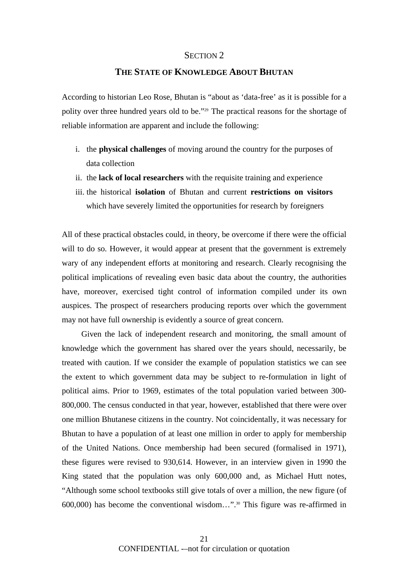#### SECTION 2

# **THE STATE OF KNOWLEDGE ABOUT BHUTAN**

According to historian Leo Rose, Bhutan is "about as 'data-free' as it is possible for a polity over three hundred years old to be."29 The practical reasons for the shortage of reliable information are apparent and include the following:

- i. the **physical challenges** of moving around the country for the purposes of data collection
- ii. the **lack of local researchers** with the requisite training and experience
- iii. the historical **isolation** of Bhutan and current **restrictions on visitors**  which have severely limited the opportunities for research by foreigners

All of these practical obstacles could, in theory, be overcome if there were the official will to do so. However, it would appear at present that the government is extremely wary of any independent efforts at monitoring and research. Clearly recognising the political implications of revealing even basic data about the country, the authorities have, moreover, exercised tight control of information compiled under its own auspices. The prospect of researchers producing reports over which the government may not have full ownership is evidently a source of great concern.

Given the lack of independent research and monitoring, the small amount of knowledge which the government has shared over the years should, necessarily, be treated with caution. If we consider the example of population statistics we can see the extent to which government data may be subject to re-formulation in light of political aims. Prior to 1969, estimates of the total population varied between 300- 800,000. The census conducted in that year, however, established that there were over one million Bhutanese citizens in the country. Not coincidentally, it was necessary for Bhutan to have a population of at least one million in order to apply for membership of the United Nations. Once membership had been secured (formalised in 1971), these figures were revised to 930,614. However, in an interview given in 1990 the King stated that the population was only 600,000 and, as Michael Hutt notes, "Although some school textbooks still give totals of over a million, the new figure (of 600,000) has become the conventional wisdom…".30 This figure was re-affirmed in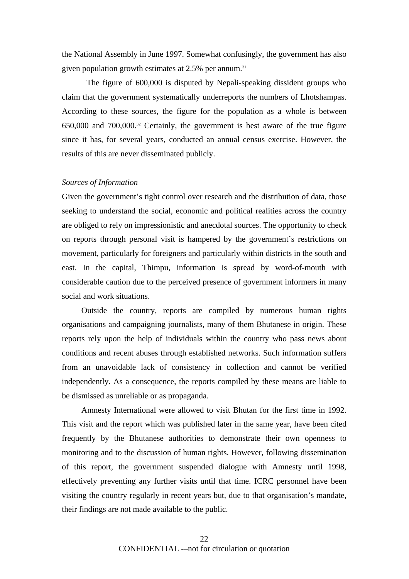the National Assembly in June 1997. Somewhat confusingly, the government has also given population growth estimates at 2.5% per annum. 31

The figure of 600,000 is disputed by Nepali-speaking dissident groups who claim that the government systematically underreports the numbers of Lhotshampas. According to these sources, the figure for the population as a whole is between 650,000 and 700,000.32 Certainly, the government is best aware of the true figure since it has, for several years, conducted an annual census exercise. However, the results of this are never disseminated publicly.

#### *Sources of Information*

Given the government's tight control over research and the distribution of data, those seeking to understand the social, economic and political realities across the country are obliged to rely on impressionistic and anecdotal sources. The opportunity to check on reports through personal visit is hampered by the government's restrictions on movement, particularly for foreigners and particularly within districts in the south and east. In the capital, Thimpu, information is spread by word-of-mouth with considerable caution due to the perceived presence of government informers in many social and work situations.

Outside the country, reports are compiled by numerous human rights organisations and campaigning journalists, many of them Bhutanese in origin. These reports rely upon the help of individuals within the country who pass news about conditions and recent abuses through established networks. Such information suffers from an unavoidable lack of consistency in collection and cannot be verified independently. As a consequence, the reports compiled by these means are liable to be dismissed as unreliable or as propaganda.

Amnesty International were allowed to visit Bhutan for the first time in 1992. This visit and the report which was published later in the same year, have been cited frequently by the Bhutanese authorities to demonstrate their own openness to monitoring and to the discussion of human rights. However, following dissemination of this report, the government suspended dialogue with Amnesty until 1998, effectively preventing any further visits until that time. ICRC personnel have been visiting the country regularly in recent years but, due to that organisation's mandate, their findings are not made available to the public.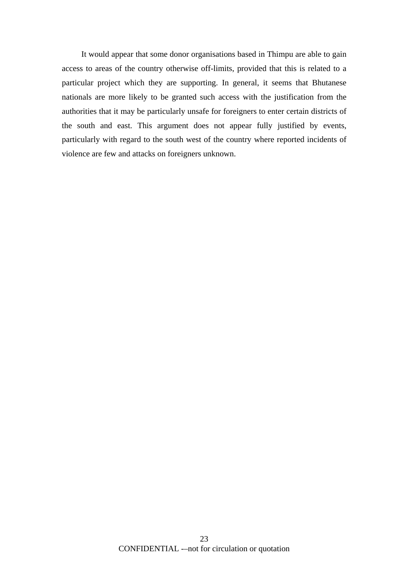It would appear that some donor organisations based in Thimpu are able to gain access to areas of the country otherwise off-limits, provided that this is related to a particular project which they are supporting. In general, it seems that Bhutanese nationals are more likely to be granted such access with the justification from the authorities that it may be particularly unsafe for foreigners to enter certain districts of the south and east. This argument does not appear fully justified by events, particularly with regard to the south west of the country where reported incidents of violence are few and attacks on foreigners unknown.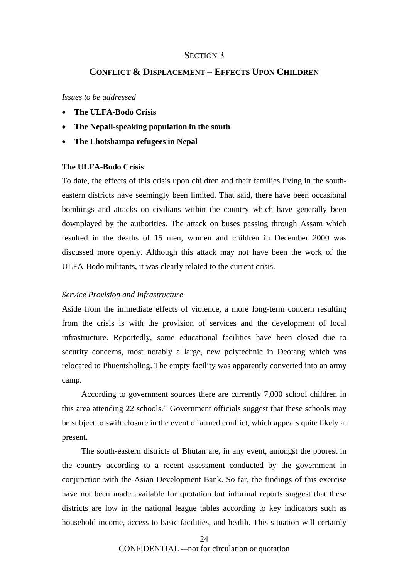#### SECTION<sub>3</sub>

# **CONFLICT & DISPLACEMENT – EFFECTS UPON CHILDREN**

#### *Issues to be addressed*

- **The ULFA-Bodo Crisis**
- **The Nepali-speaking population in the south**
- **The Lhotshampa refugees in Nepal**

#### **The ULFA-Bodo Crisis**

To date, the effects of this crisis upon children and their families living in the southeastern districts have seemingly been limited. That said, there have been occasional bombings and attacks on civilians within the country which have generally been downplayed by the authorities. The attack on buses passing through Assam which resulted in the deaths of 15 men, women and children in December 2000 was discussed more openly. Although this attack may not have been the work of the ULFA-Bodo militants, it was clearly related to the current crisis.

#### *Service Provision and Infrastructure*

Aside from the immediate effects of violence, a more long-term concern resulting from the crisis is with the provision of services and the development of local infrastructure. Reportedly, some educational facilities have been closed due to security concerns, most notably a large, new polytechnic in Deotang which was relocated to Phuentsholing. The empty facility was apparently converted into an army camp.

According to government sources there are currently 7,000 school children in this area attending 22 schools.<sup>33</sup> Government officials suggest that these schools may be subject to swift closure in the event of armed conflict, which appears quite likely at present.

The south-eastern districts of Bhutan are, in any event, amongst the poorest in the country according to a recent assessment conducted by the government in conjunction with the Asian Development Bank. So far, the findings of this exercise have not been made available for quotation but informal reports suggest that these districts are low in the national league tables according to key indicators such as household income, access to basic facilities, and health. This situation will certainly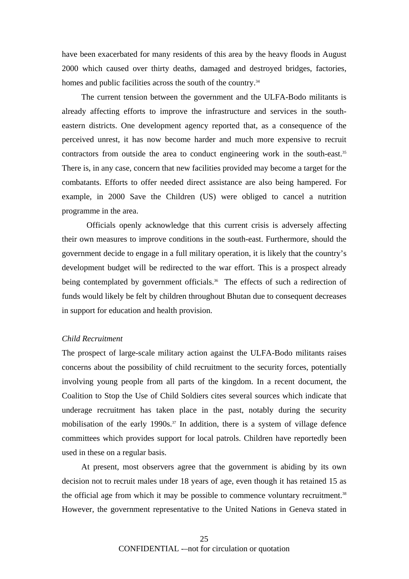have been exacerbated for many residents of this area by the heavy floods in August 2000 which caused over thirty deaths, damaged and destroyed bridges, factories, homes and public facilities across the south of the country.<sup>34</sup>

The current tension between the government and the ULFA-Bodo militants is already affecting efforts to improve the infrastructure and services in the southeastern districts. One development agency reported that, as a consequence of the perceived unrest, it has now become harder and much more expensive to recruit contractors from outside the area to conduct engineering work in the south-east.<sup>35</sup> There is, in any case, concern that new facilities provided may become a target for the combatants. Efforts to offer needed direct assistance are also being hampered. For example, in 2000 Save the Children (US) were obliged to cancel a nutrition programme in the area.

Officials openly acknowledge that this current crisis is adversely affecting their own measures to improve conditions in the south-east. Furthermore, should the government decide to engage in a full military operation, it is likely that the country's development budget will be redirected to the war effort. This is a prospect already being contemplated by government officials.<sup>36</sup> The effects of such a redirection of funds would likely be felt by children throughout Bhutan due to consequent decreases in support for education and health provision.

#### *Child Recruitment*

The prospect of large-scale military action against the ULFA-Bodo militants raises concerns about the possibility of child recruitment to the security forces, potentially involving young people from all parts of the kingdom. In a recent document, the Coalition to Stop the Use of Child Soldiers cites several sources which indicate that underage recruitment has taken place in the past, notably during the security mobilisation of the early 1990s.<sup>37</sup> In addition, there is a system of village defence committees which provides support for local patrols. Children have reportedly been used in these on a regular basis.

At present, most observers agree that the government is abiding by its own decision not to recruit males under 18 years of age, even though it has retained 15 as the official age from which it may be possible to commence voluntary recruitment.<sup>38</sup> However, the government representative to the United Nations in Geneva stated in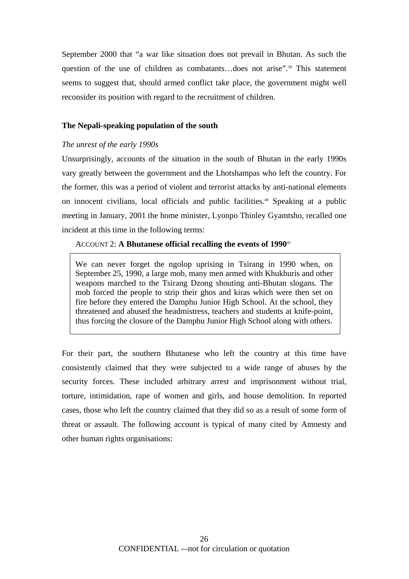September 2000 that "a war like situation does not prevail in Bhutan. As such the question of the use of children as combatants...does not arise".<sup>39</sup> This statement seems to suggest that, should armed conflict take place, the government might well reconsider its position with regard to the recruitment of children.

#### **The Nepali-speaking population of the south**

#### *The unrest of the early 1990s*

Unsurprisingly, accounts of the situation in the south of Bhutan in the early 1990s vary greatly between the government and the Lhotshampas who left the country. For the former, this was a period of violent and terrorist attacks by anti-national elements on innocent civilians, local officials and public facilities.40 Speaking at a public meeting in January, 2001 the home minister, Lyonpo Thinley Gyamtsho, recalled one incident at this time in the following terms:

#### ACCOUNT 2: **A Bhutanese official recalling the events of 1990**<sup>41</sup>

We can never forget the ngolop uprising in Tsirang in 1990 when, on September 25, 1990, a large mob, many men armed with Khukhuris and other weapons marched to the Tsirang Dzong shouting anti-Bhutan slogans. The mob forced the people to strip their ghos and kiras which were then set on fire before they entered the Damphu Junior High School. At the school, they threatened and abused the headmistress, teachers and students at knife-point, thus forcing the closure of the Damphu Junior High School along with others.

For their part, the southern Bhutanese who left the country at this time have consistently claimed that they were subjected to a wide range of abuses by the security forces. These included arbitrary arrest and imprisonment without trial, torture, intimidation, rape of women and girls, and house demolition. In reported cases, those who left the country claimed that they did so as a result of some form of threat or assault. The following account is typical of many cited by Amnesty and other human rights organisations: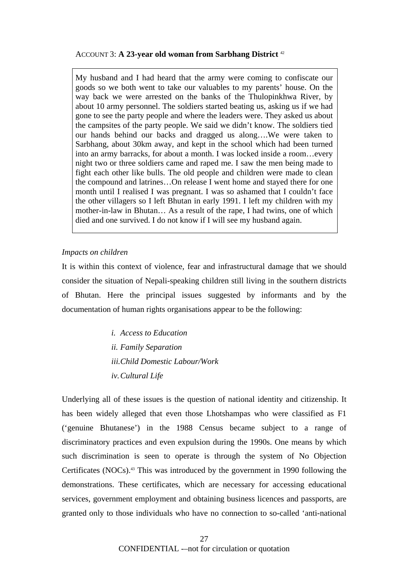#### ACCOUNT 3: **A 23-year old woman from Sarbhang District** <sup>42</sup>

My husband and I had heard that the army were coming to confiscate our goods so we both went to take our valuables to my parents' house. On the way back we were arrested on the banks of the Thulopinkhwa River, by about 10 army personnel. The soldiers started beating us, asking us if we had gone to see the party people and where the leaders were. They asked us about the campsites of the party people. We said we didn't know. The soldiers tied our hands behind our backs and dragged us along….We were taken to Sarbhang, about 30km away, and kept in the school which had been turned into an army barracks, for about a month. I was locked inside a room…every night two or three soldiers came and raped me. I saw the men being made to fight each other like bulls. The old people and children were made to clean the compound and latrines…On release I went home and stayed there for one month until I realised I was pregnant. I was so ashamed that I couldn't face the other villagers so I left Bhutan in early 1991. I left my children with my mother-in-law in Bhutan… As a result of the rape, I had twins, one of which died and one survived. I do not know if I will see my husband again.

#### *Impacts on children*

It is within this context of violence, fear and infrastructural damage that we should consider the situation of Nepali-speaking children still living in the southern districts of Bhutan. Here the principal issues suggested by informants and by the documentation of human rights organisations appear to be the following:

> *i. Access to Education ii. Family Separation iii.Child Domestic Labour/Work iv. Cultural Life*

Underlying all of these issues is the question of national identity and citizenship. It has been widely alleged that even those Lhotshampas who were classified as F1 ('genuine Bhutanese') in the 1988 Census became subject to a range of discriminatory practices and even expulsion during the 1990s. One means by which such discrimination is seen to operate is through the system of No Objection Certificates (NOCs).43 This was introduced by the government in 1990 following the demonstrations. These certificates, which are necessary for accessing educational services, government employment and obtaining business licences and passports, are granted only to those individuals who have no connection to so-called 'anti-national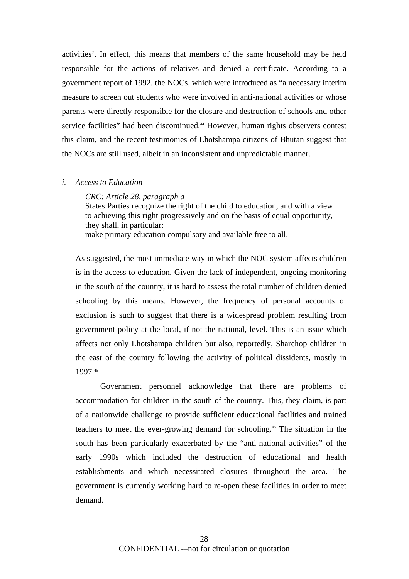activities'. In effect, this means that members of the same household may be held responsible for the actions of relatives and denied a certificate. According to a government report of 1992, the NOCs, which were introduced as "a necessary interim measure to screen out students who were involved in anti-national activities or whose parents were directly responsible for the closure and destruction of schools and other service facilities" had been discontinued.<sup>44</sup> However, human rights observers contest this claim, and the recent testimonies of Lhotshampa citizens of Bhutan suggest that the NOCs are still used, albeit in an inconsistent and unpredictable manner.

#### *i. Access to Education*

*CRC: Article 28, paragraph a* 

States Parties recognize the right of the child to education, and with a view to achieving this right progressively and on the basis of equal opportunity, they shall, in particular: make primary education compulsory and available free to all.

As suggested, the most immediate way in which the NOC system affects children is in the access to education. Given the lack of independent, ongoing monitoring in the south of the country, it is hard to assess the total number of children denied schooling by this means. However, the frequency of personal accounts of exclusion is such to suggest that there is a widespread problem resulting from government policy at the local, if not the national, level. This is an issue which affects not only Lhotshampa children but also, reportedly, Sharchop children in the east of the country following the activity of political dissidents, mostly in 1997.45

Government personnel acknowledge that there are problems of accommodation for children in the south of the country. This, they claim, is part of a nationwide challenge to provide sufficient educational facilities and trained teachers to meet the ever-growing demand for schooling.46 The situation in the south has been particularly exacerbated by the "anti-national activities" of the early 1990s which included the destruction of educational and health establishments and which necessitated closures throughout the area. The government is currently working hard to re-open these facilities in order to meet demand.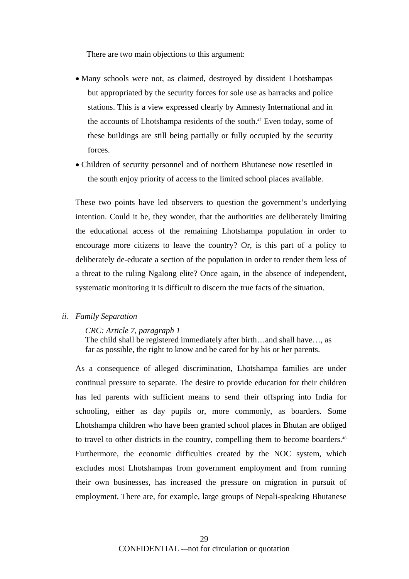There are two main objections to this argument:

- Many schools were not, as claimed, destroyed by dissident Lhotshampas but appropriated by the security forces for sole use as barracks and police stations. This is a view expressed clearly by Amnesty International and in the accounts of Lhotshampa residents of the south.<sup>47</sup> Even today, some of these buildings are still being partially or fully occupied by the security forces.
- Children of security personnel and of northern Bhutanese now resettled in the south enjoy priority of access to the limited school places available.

These two points have led observers to question the government's underlying intention. Could it be, they wonder, that the authorities are deliberately limiting the educational access of the remaining Lhotshampa population in order to encourage more citizens to leave the country? Or, is this part of a policy to deliberately de-educate a section of the population in order to render them less of a threat to the ruling Ngalong elite? Once again, in the absence of independent, systematic monitoring it is difficult to discern the true facts of the situation.

#### *ii. Family Separation*

*CRC: Article 7, paragraph 1* 

The child shall be registered immediately after birth…and shall have…, as far as possible, the right to know and be cared for by his or her parents.

As a consequence of alleged discrimination, Lhotshampa families are under continual pressure to separate. The desire to provide education for their children has led parents with sufficient means to send their offspring into India for schooling, either as day pupils or, more commonly, as boarders. Some Lhotshampa children who have been granted school places in Bhutan are obliged to travel to other districts in the country, compelling them to become boarders.<sup>48</sup> Furthermore, the economic difficulties created by the NOC system, which excludes most Lhotshampas from government employment and from running their own businesses, has increased the pressure on migration in pursuit of employment. There are, for example, large groups of Nepali-speaking Bhutanese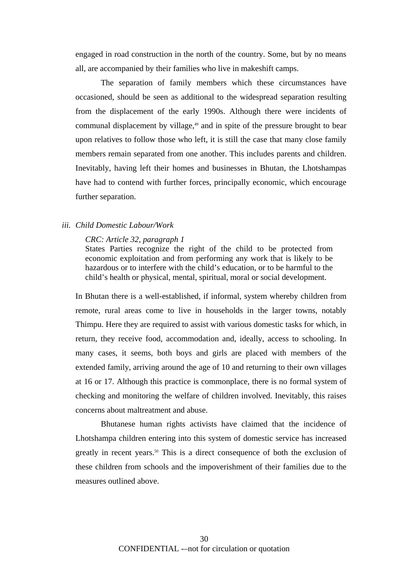engaged in road construction in the north of the country. Some, but by no means all, are accompanied by their families who live in makeshift camps.

The separation of family members which these circumstances have occasioned, should be seen as additional to the widespread separation resulting from the displacement of the early 1990s. Although there were incidents of communal displacement by village,<sup>49</sup> and in spite of the pressure brought to bear upon relatives to follow those who left, it is still the case that many close family members remain separated from one another. This includes parents and children. Inevitably, having left their homes and businesses in Bhutan, the Lhotshampas have had to contend with further forces, principally economic, which encourage further separation.

#### *iii. Child Domestic Labour/Work*

#### *CRC: Article 32, paragraph 1*

States Parties recognize the right of the child to be protected from economic exploitation and from performing any work that is likely to be hazardous or to interfere with the child's education, or to be harmful to the child's health or physical, mental, spiritual, moral or social development.

In Bhutan there is a well-established, if informal, system whereby children from remote, rural areas come to live in households in the larger towns, notably Thimpu. Here they are required to assist with various domestic tasks for which, in return, they receive food, accommodation and, ideally, access to schooling. In many cases, it seems, both boys and girls are placed with members of the extended family, arriving around the age of 10 and returning to their own villages at 16 or 17. Although this practice is commonplace, there is no formal system of checking and monitoring the welfare of children involved. Inevitably, this raises concerns about maltreatment and abuse.

 Bhutanese human rights activists have claimed that the incidence of Lhotshampa children entering into this system of domestic service has increased greatly in recent years.<sup>50</sup> This is a direct consequence of both the exclusion of these children from schools and the impoverishment of their families due to the measures outlined above.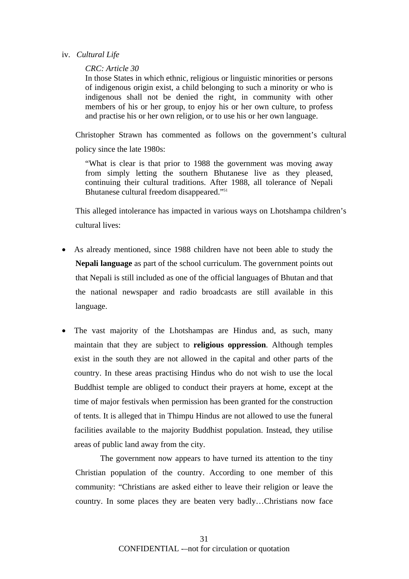#### iv. *Cultural Life*

# *CRC: Article 30*

In those States in which ethnic, religious or linguistic minorities or persons of indigenous origin exist, a child belonging to such a minority or who is indigenous shall not be denied the right, in community with other members of his or her group, to enjoy his or her own culture, to profess and practise his or her own religion, or to use his or her own language.

Christopher Strawn has commented as follows on the government's cultural policy since the late 1980s:

"What is clear is that prior to 1988 the government was moving away from simply letting the southern Bhutanese live as they pleased, continuing their cultural traditions. After 1988, all tolerance of Nepali Bhutanese cultural freedom disappeared."51

This alleged intolerance has impacted in various ways on Lhotshampa children's cultural lives:

- As already mentioned, since 1988 children have not been able to study the **Nepali language** as part of the school curriculum. The government points out that Nepali is still included as one of the official languages of Bhutan and that the national newspaper and radio broadcasts are still available in this language.
- The vast majority of the Lhotshampas are Hindus and, as such, many maintain that they are subject to **religious oppression**. Although temples exist in the south they are not allowed in the capital and other parts of the country. In these areas practising Hindus who do not wish to use the local Buddhist temple are obliged to conduct their prayers at home, except at the time of major festivals when permission has been granted for the construction of tents. It is alleged that in Thimpu Hindus are not allowed to use the funeral facilities available to the majority Buddhist population. Instead, they utilise areas of public land away from the city.

The government now appears to have turned its attention to the tiny Christian population of the country. According to one member of this community: "Christians are asked either to leave their religion or leave the country. In some places they are beaten very badly…Christians now face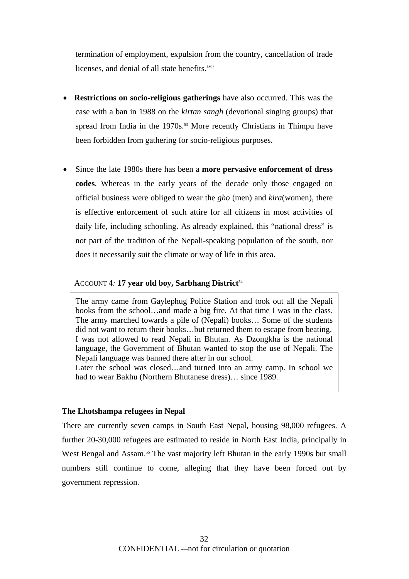termination of employment, expulsion from the country, cancellation of trade licenses, and denial of all state benefits."52

- **Restrictions on socio-religious gatherings** have also occurred. This was the case with a ban in 1988 on the *kirtan sangh* (devotional singing groups) that spread from India in the 1970s.<sup>53</sup> More recently Christians in Thimpu have been forbidden from gathering for socio-religious purposes.
- Since the late 1980s there has been a **more pervasive enforcement of dress codes**. Whereas in the early years of the decade only those engaged on official business were obliged to wear the *gho* (men) and *kira*(women), there is effective enforcement of such attire for all citizens in most activities of daily life, including schooling. As already explained, this "national dress" is not part of the tradition of the Nepali-speaking population of the south, nor does it necessarily suit the climate or way of life in this area.

#### ACCOUNT 4: 17 year old boy, Sarbhang District<sup>54</sup>

The army came from Gaylephug Police Station and took out all the Nepali books from the school…and made a big fire. At that time I was in the class. The army marched towards a pile of (Nepali) books… Some of the students did not want to return their books…but returned them to escape from beating. I was not allowed to read Nepali in Bhutan. As Dzongkha is the national language, the Government of Bhutan wanted to stop the use of Nepali. The Nepali language was banned there after in our school.

Later the school was closed…and turned into an army camp. In school we had to wear Bakhu (Northern Bhutanese dress)… since 1989.

#### **The Lhotshampa refugees in Nepal**

There are currently seven camps in South East Nepal, housing 98,000 refugees. A further 20-30,000 refugees are estimated to reside in North East India, principally in West Bengal and Assam.<sup>55</sup> The vast majority left Bhutan in the early 1990s but small numbers still continue to come, alleging that they have been forced out by government repression.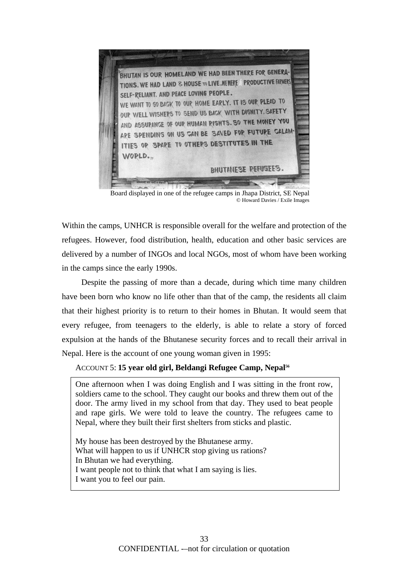

Board displayed in one of the refugee camps in Jhapa District, SE Nepal © Howard Davies / Exile Images

Within the camps, UNHCR is responsible overall for the welfare and protection of the refugees. However, food distribution, health, education and other basic services are delivered by a number of INGOs and local NGOs, most of whom have been working in the camps since the early 1990s.

Despite the passing of more than a decade, during which time many children have been born who know no life other than that of the camp, the residents all claim that their highest priority is to return to their homes in Bhutan. It would seem that every refugee, from teenagers to the elderly, is able to relate a story of forced expulsion at the hands of the Bhutanese security forces and to recall their arrival in Nepal. Here is the account of one young woman given in 1995:

ACCOUNT 5: **15 year old girl, Beldangi Refugee Camp, Nepal56**

One afternoon when I was doing English and I was sitting in the front row, soldiers came to the school. They caught our books and threw them out of the door. The army lived in my school from that day. They used to beat people and rape girls. We were told to leave the country. The refugees came to Nepal, where they built their first shelters from sticks and plastic.

My house has been destroyed by the Bhutanese army. What will happen to us if UNHCR stop giving us rations? In Bhutan we had everything. I want people not to think that what I am saying is lies. I want you to feel our pain.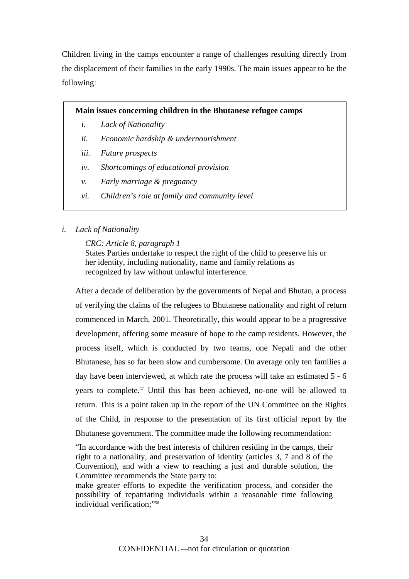Children living in the camps encounter a range of challenges resulting directly from the displacement of their families in the early 1990s. The main issues appear to be the following:

# **Main issues concerning children in the Bhutanese refugee camps**

- *i. Lack of Nationality*
- *ii. Economic hardship & undernourishment*
- *iii. Future prospects*
- *iv. Shortcomings of educational provision*
- *v. Early marriage & pregnancy*
- *vi. Children's role at family and community level*

# *i. Lack of Nationality*

*CRC: Article 8, paragraph 1* 

States Parties undertake to respect the right of the child to preserve his or her identity, including nationality, name and family relations as recognized by law without unlawful interference.

After a decade of deliberation by the governments of Nepal and Bhutan, a process of verifying the claims of the refugees to Bhutanese nationality and right of return commenced in March, 2001. Theoretically, this would appear to be a progressive development, offering some measure of hope to the camp residents. However, the process itself, which is conducted by two teams, one Nepali and the other Bhutanese, has so far been slow and cumbersome. On average only ten families a day have been interviewed, at which rate the process will take an estimated 5 - 6 years to complete.<sup>57</sup> Until this has been achieved, no-one will be allowed to return. This is a point taken up in the report of the UN Committee on the Rights of the Child, in response to the presentation of its first official report by the Bhutanese government. The committee made the following recommendation:

"In accordance with the best interests of children residing in the camps, their right to a nationality, and preservation of identity (articles 3, 7 and 8 of the Convention), and with a view to reaching a just and durable solution, the Committee recommends the State party to:

make greater efforts to expedite the verification process, and consider the possibility of repatriating individuals within a reasonable time following individual verification;"58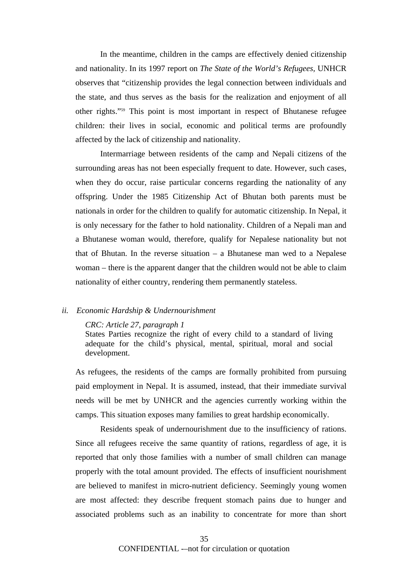In the meantime, children in the camps are effectively denied citizenship and nationality. In its 1997 report on *The State of the World's Refugees,* UNHCR observes that "citizenship provides the legal connection between individuals and the state, and thus serves as the basis for the realization and enjoyment of all other rights."59 This point is most important in respect of Bhutanese refugee children: their lives in social, economic and political terms are profoundly affected by the lack of citizenship and nationality.

Intermarriage between residents of the camp and Nepali citizens of the surrounding areas has not been especially frequent to date. However, such cases, when they do occur, raise particular concerns regarding the nationality of any offspring. Under the 1985 Citizenship Act of Bhutan both parents must be nationals in order for the children to qualify for automatic citizenship. In Nepal, it is only necessary for the father to hold nationality. Children of a Nepali man and a Bhutanese woman would, therefore, qualify for Nepalese nationality but not that of Bhutan. In the reverse situation – a Bhutanese man wed to a Nepalese woman – there is the apparent danger that the children would not be able to claim nationality of either country, rendering them permanently stateless.

#### *ii. Economic Hardship & Undernourishment*

#### *CRC: Article 27, paragraph 1*

States Parties recognize the right of every child to a standard of living adequate for the child's physical, mental, spiritual, moral and social development.

As refugees, the residents of the camps are formally prohibited from pursuing paid employment in Nepal. It is assumed, instead, that their immediate survival needs will be met by UNHCR and the agencies currently working within the camps. This situation exposes many families to great hardship economically.

Residents speak of undernourishment due to the insufficiency of rations. Since all refugees receive the same quantity of rations, regardless of age, it is reported that only those families with a number of small children can manage properly with the total amount provided. The effects of insufficient nourishment are believed to manifest in micro-nutrient deficiency. Seemingly young women are most affected: they describe frequent stomach pains due to hunger and associated problems such as an inability to concentrate for more than short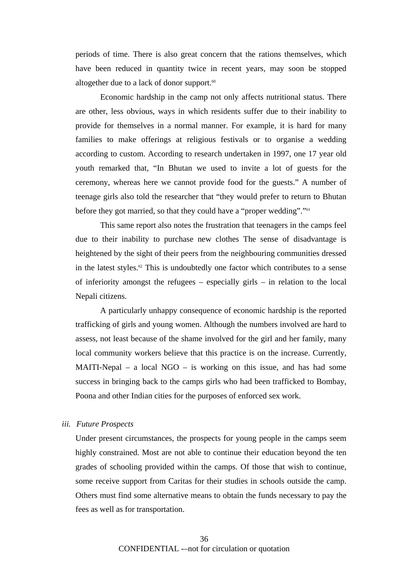periods of time. There is also great concern that the rations themselves, which have been reduced in quantity twice in recent years, may soon be stopped altogether due to a lack of donor support.<sup>60</sup>

Economic hardship in the camp not only affects nutritional status. There are other, less obvious, ways in which residents suffer due to their inability to provide for themselves in a normal manner. For example, it is hard for many families to make offerings at religious festivals or to organise a wedding according to custom. According to research undertaken in 1997, one 17 year old youth remarked that, "In Bhutan we used to invite a lot of guests for the ceremony, whereas here we cannot provide food for the guests." A number of teenage girls also told the researcher that "they would prefer to return to Bhutan before they got married, so that they could have a "proper wedding"."<sup>61</sup>

This same report also notes the frustration that teenagers in the camps feel due to their inability to purchase new clothes The sense of disadvantage is heightened by the sight of their peers from the neighbouring communities dressed in the latest styles.<sup>62</sup> This is undoubtedly one factor which contributes to a sense of inferiority amongst the refugees – especially girls – in relation to the local Nepali citizens.

A particularly unhappy consequence of economic hardship is the reported trafficking of girls and young women. Although the numbers involved are hard to assess, not least because of the shame involved for the girl and her family, many local community workers believe that this practice is on the increase. Currently, MAITI-Nepal – a local  $NGO -$  is working on this issue, and has had some success in bringing back to the camps girls who had been trafficked to Bombay, Poona and other Indian cities for the purposes of enforced sex work.

# *iii. Future Prospects*

Under present circumstances, the prospects for young people in the camps seem highly constrained. Most are not able to continue their education beyond the ten grades of schooling provided within the camps. Of those that wish to continue, some receive support from Caritas for their studies in schools outside the camp. Others must find some alternative means to obtain the funds necessary to pay the fees as well as for transportation.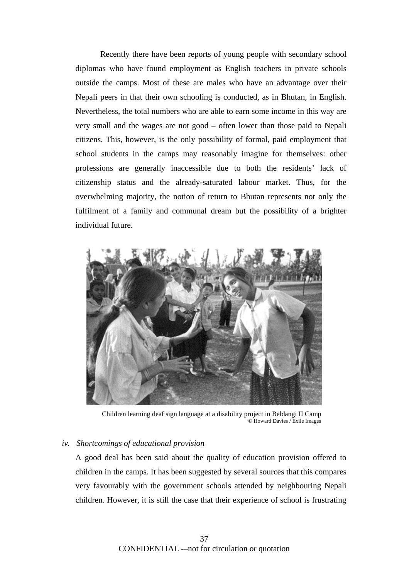Recently there have been reports of young people with secondary school diplomas who have found employment as English teachers in private schools outside the camps. Most of these are males who have an advantage over their Nepali peers in that their own schooling is conducted, as in Bhutan, in English. Nevertheless, the total numbers who are able to earn some income in this way are very small and the wages are not good – often lower than those paid to Nepali citizens. This, however, is the only possibility of formal, paid employment that school students in the camps may reasonably imagine for themselves: other professions are generally inaccessible due to both the residents' lack of citizenship status and the already-saturated labour market. Thus, for the overwhelming majority, the notion of return to Bhutan represents not only the fulfilment of a family and communal dream but the possibility of a brighter individual future.



Children learning deaf sign language at a disability project in Beldangi II Camp © Howard Davies / Exile Images

#### *iv. Shortcomings of educational provision*

A good deal has been said about the quality of education provision offered to children in the camps. It has been suggested by several sources that this compares very favourably with the government schools attended by neighbouring Nepali children. However, it is still the case that their experience of school is frustrating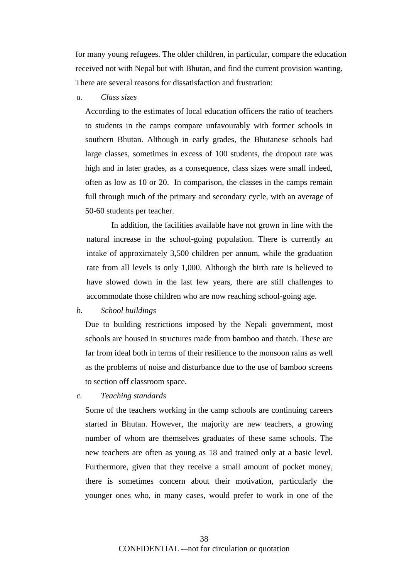for many young refugees. The older children, in particular, compare the education received not with Nepal but with Bhutan, and find the current provision wanting. There are several reasons for dissatisfaction and frustration:

#### *a. Class sizes*

According to the estimates of local education officers the ratio of teachers to students in the camps compare unfavourably with former schools in southern Bhutan. Although in early grades, the Bhutanese schools had large classes, sometimes in excess of 100 students, the dropout rate was high and in later grades, as a consequence, class sizes were small indeed, often as low as 10 or 20. In comparison, the classes in the camps remain full through much of the primary and secondary cycle, with an average of 50-60 students per teacher.

In addition, the facilities available have not grown in line with the natural increase in the school-going population. There is currently an intake of approximately 3,500 children per annum, while the graduation rate from all levels is only 1,000. Although the birth rate is believed to have slowed down in the last few years, there are still challenges to accommodate those children who are now reaching school-going age.

#### *b. School buildings*

Due to building restrictions imposed by the Nepali government, most schools are housed in structures made from bamboo and thatch. These are far from ideal both in terms of their resilience to the monsoon rains as well as the problems of noise and disturbance due to the use of bamboo screens to section off classroom space.

 *c. Teaching standards* 

Some of the teachers working in the camp schools are continuing careers started in Bhutan. However, the majority are new teachers, a growing number of whom are themselves graduates of these same schools. The new teachers are often as young as 18 and trained only at a basic level. Furthermore, given that they receive a small amount of pocket money, there is sometimes concern about their motivation, particularly the younger ones who, in many cases, would prefer to work in one of the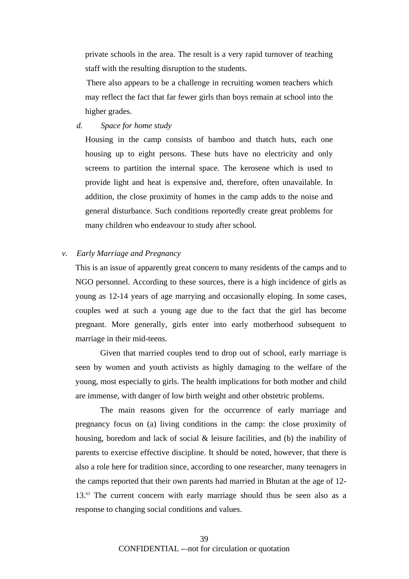private schools in the area. The result is a very rapid turnover of teaching staff with the resulting disruption to the students.

There also appears to be a challenge in recruiting women teachers which may reflect the fact that far fewer girls than boys remain at school into the higher grades.

*d. Space for home study* 

Housing in the camp consists of bamboo and thatch huts, each one housing up to eight persons. These huts have no electricity and only screens to partition the internal space. The kerosene which is used to provide light and heat is expensive and, therefore, often unavailable. In addition, the close proximity of homes in the camp adds to the noise and general disturbance. Such conditions reportedly create great problems for many children who endeavour to study after school.

#### *v. Early Marriage and Pregnancy*

This is an issue of apparently great concern to many residents of the camps and to NGO personnel. According to these sources, there is a high incidence of girls as young as 12-14 years of age marrying and occasionally eloping. In some cases, couples wed at such a young age due to the fact that the girl has become pregnant. More generally, girls enter into early motherhood subsequent to marriage in their mid-teens.

Given that married couples tend to drop out of school, early marriage is seen by women and youth activists as highly damaging to the welfare of the young, most especially to girls. The health implications for both mother and child are immense, with danger of low birth weight and other obstetric problems.

The main reasons given for the occurrence of early marriage and pregnancy focus on (a) living conditions in the camp: the close proximity of housing, boredom and lack of social & leisure facilities, and (b) the inability of parents to exercise effective discipline. It should be noted, however, that there is also a role here for tradition since, according to one researcher, many teenagers in the camps reported that their own parents had married in Bhutan at the age of 12- 13.<sup>63</sup> The current concern with early marriage should thus be seen also as a response to changing social conditions and values.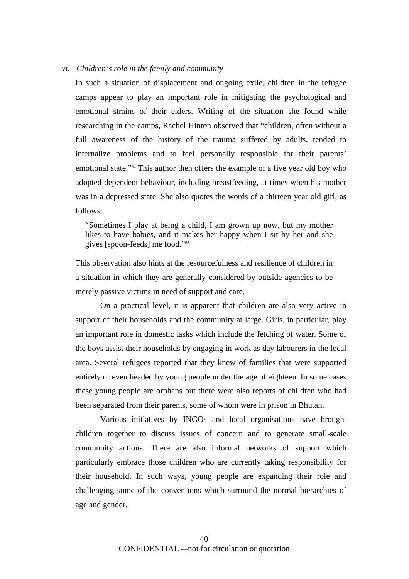#### *vi. Children's role in the family and community*

In such a situation of displacement and ongoing exile, children in the refugee camps appear to play an important role in mitigating the psychological and emotional strains of their elders. Writing of the situation she found while researching in the camps, Rachel Hinton observed that "children, often without a full awareness of the history of the trauma suffered by adults, tended to internalize problems and to feel personally responsible for their parents' emotional state."64 This author then offers the example of a five year old boy who adopted dependent behaviour, including breastfeeding, at times when his mother was in a depressed state. She also quotes the words of a thirteen year old girl, as follows:

"Sometimes I play at being a child, I am grown up now, but my mother likes to have babies, and it makes her happy when I sit by her and she gives [spoon-feeds] me food."65

This observation also hints at the resourcefulness and resilience of children in a situation in which they are generally considered by outside agencies to be merely passive victims in need of support and care.

On a practical level, it is apparent that children are also very active in support of their households and the community at large. Girls, in particular, play an important role in domestic tasks which include the fetching of water. Some of the boys assist their households by engaging in work as day labourers in the local area. Several refugees reported that they knew of families that were supported entirely or even headed by young people under the age of eighteen. In some cases these young people are orphans but there were also reports of children who had been separated from their parents, some of whom were in prison in Bhutan.

Various initiatives by INGOs and local organisations have brought children together to discuss issues of concern and to generate small-scale community actions. There are also informal networks of support which particularly embrace those children who are currently taking responsibility for their household. In such ways, young people are expanding their role and challenging some of the conventions which surround the normal hierarchies of age and gender.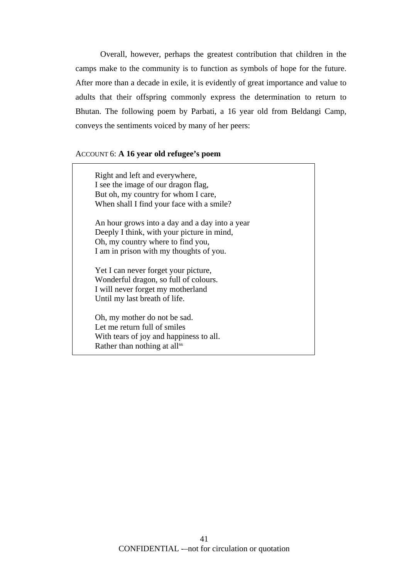Overall, however, perhaps the greatest contribution that children in the camps make to the community is to function as symbols of hope for the future. After more than a decade in exile, it is evidently of great importance and value to adults that their offspring commonly express the determination to return to Bhutan. The following poem by Parbati, a 16 year old from Beldangi Camp, conveys the sentiments voiced by many of her peers:

#### ACCOUNT 6: **A 16 year old refugee's poem**

Right and left and everywhere, I see the image of our dragon flag, But oh, my country for whom I care, When shall I find your face with a smile?

An hour grows into a day and a day into a year Deeply I think, with your picture in mind, Oh, my country where to find you, I am in prison with my thoughts of you.

Yet I can never forget your picture, Wonderful dragon, so full of colours. I will never forget my motherland Until my last breath of life.

Oh, my mother do not be sad. Let me return full of smiles With tears of joy and happiness to all. Rather than nothing at all<sup>66</sup>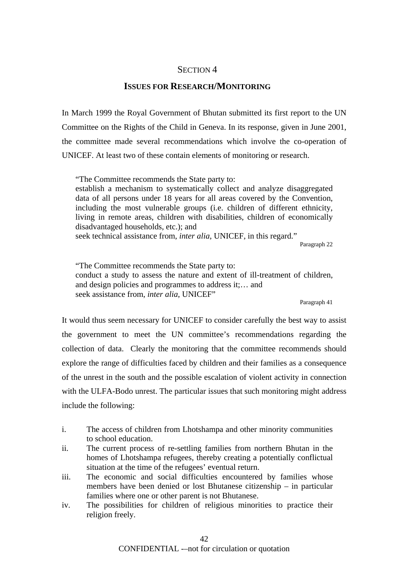# SECTION 4

# **ISSUES FOR RESEARCH/MONITORING**

In March 1999 the Royal Government of Bhutan submitted its first report to the UN Committee on the Rights of the Child in Geneva. In its response, given in June 2001, the committee made several recommendations which involve the co-operation of UNICEF. At least two of these contain elements of monitoring or research.

"The Committee recommends the State party to:

establish a mechanism to systematically collect and analyze disaggregated data of all persons under 18 years for all areas covered by the Convention, including the most vulnerable groups (i.e. children of different ethnicity, living in remote areas, children with disabilities, children of economically disadvantaged households, etc.); and

seek technical assistance from, *inter alia*, UNICEF, in this regard."

Paragraph 22

"The Committee recommends the State party to: conduct a study to assess the nature and extent of ill-treatment of children, and design policies and programmes to address it;… and seek assistance from, *inter alia*, UNICEF"

Paragraph 41

It would thus seem necessary for UNICEF to consider carefully the best way to assist the government to meet the UN committee's recommendations regarding the collection of data. Clearly the monitoring that the committee recommends should explore the range of difficulties faced by children and their families as a consequence of the unrest in the south and the possible escalation of violent activity in connection with the ULFA-Bodo unrest. The particular issues that such monitoring might address include the following:

- i. The access of children from Lhotshampa and other minority communities to school education.
- ii. The current process of re-settling families from northern Bhutan in the homes of Lhotshampa refugees, thereby creating a potentially conflictual situation at the time of the refugees' eventual return.
- iii. The economic and social difficulties encountered by families whose members have been denied or lost Bhutanese citizenship – in particular families where one or other parent is not Bhutanese.
- iv. The possibilities for children of religious minorities to practice their religion freely.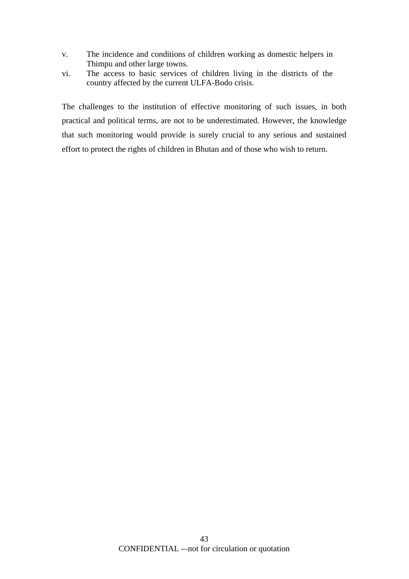- v. The incidence and conditions of children working as domestic helpers in Thimpu and other large towns.
- vi. The access to basic services of children living in the districts of the country affected by the current ULFA-Bodo crisis.

The challenges to the institution of effective monitoring of such issues, in both practical and political terms, are not to be underestimated. However, the knowledge that such monitoring would provide is surely crucial to any serious and sustained effort to protect the rights of children in Bhutan and of those who wish to return.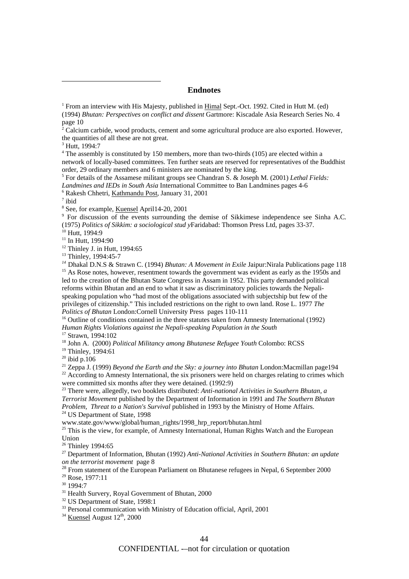#### **Endnotes**

<sup>3</sup> Hutt, 1994:7

<sup>4</sup> The assembly is constituted by 150 members, more than two-thirds (105) are elected within a network of locally-based committees. Ten further seats are reserved for representatives of the Buddhist order, 29 ordinary members and 6 ministers are nominated by the king. 5

 For details of the Assamese militant groups see Chandran S. & Joseph M. (2001) *Lethal Fields: Landmines and IEDs in South Asia* International Committee to Ban Landmines pages 4-6 6

Rakesh Chhetri, Kathmandu Post, January 31, 2001

 $<sup>7</sup>$  ibid</sup>

 $\overline{a}$ 

<sup>8</sup> See, for example, Kuensel April14-20, 2001

<sup>9</sup> For discussion of the events surrounding the demise of Sikkimese independence see Sinha A.C*.*  (1975) *Politics of Sikkim: a sociological stud y*Faridabad: Thomson Press Ltd, pages 33-37.

 $11$  In Hutt, 1994:90

 $12$  Thinley J. in Hutt, 1994:65

<sup>13</sup> Thinley, 1994:45-7

*<sup>14</sup>* Dhakal D.N.S & Strawn C. (1994) *Bhutan: A Movement in Exile* Jaipur:Nirala Publications page 118 <sup>15</sup> As Rose notes, however, resentment towards the government was evident as early as the 1950s and led to the creation of the Bhutan State Congress in Assam in 1952. This party demanded political reforms within Bhutan and an end to what it saw as discriminatory policies towards the Nepalispeaking population who "had most of the obligations associated with subjectship but few of the privileges of citizenship." This included restrictions on the right to own land. Rose L. 1977 *The Politics of Bhutan* London:Cornell University Press pages 110-111

<sup>16</sup> Outline of conditions contained in the three statutes taken from Amnesty International (1992) *Human Rights Violations against the Nepali-speaking Population in the South*<br><sup>17</sup> Strawn, 1994:102<br><sup>18</sup> John A. (2000) *Political Militancy among Bhutanese Refugee Youth* Colombo: RCSS

<sup>19</sup> Thinley, 1994:61<br><sup>20</sup> ibid p.106<br><sup>21</sup> Zeppa J. (1999) *Beyond the Earth and the Sky: a journey into Bhutan* London:Macmillan page194 <sup>22</sup> According to Amnesty International, the six prisoners were held on charges relating to crimes which were committed six months after they were detained.  $(1992.9)$ 

<sup>23</sup> There were, allegedly, two booklets distributed: *Anti-national Activities in Southern Bhutan, a Terrorist Movement* published by the Department of Information in 1991 and *The Southern Bhutan Problem, Threat to a Nation's Survival* published in 1993 by the Ministry of Home Affairs. 24 US Department of State, 1998

www.state.gov/www/global/human\_rights/1998\_hrp\_report/bhutan.html

<sup>25</sup> This is the view, for example, of Amnesty International, Human Rights Watch and the European Union<br><sup>26</sup> Thinley 1994:65

27 Department of Information, Bhutan (1992) *Anti-National Activities in Southern Bhutan: an update* 

<sup>28</sup> From statement of the European Parliament on Bhutanese refugees in Nepal, 6 September 2000 29 Rose, 1977:11

30 1994:7

<sup>31</sup> Health Survery, Royal Government of Bhutan, 2000

<sup>32</sup> US Department of State, 1998:1

<sup>33</sup> Personal communication with Ministry of Education official, April, 2001

 $34$  Kuensel August  $12<sup>th</sup>$ , 2000

CONFIDENTIAL -–not for circulation or quotation

<sup>&</sup>lt;sup>1</sup> From an interview with His Majesty, published in **Himal Sept.-Oct.** 1992. Cited in Hutt M. (ed) (1994) *Bhutan: Perspectives on conflict and dissent* Gartmore: Kiscadale Asia Research Series No. 4 page 10

 $2^2$  Calcium carbide, wood products, cement and some agricultural produce are also exported. However, the quantities of all these are not great.